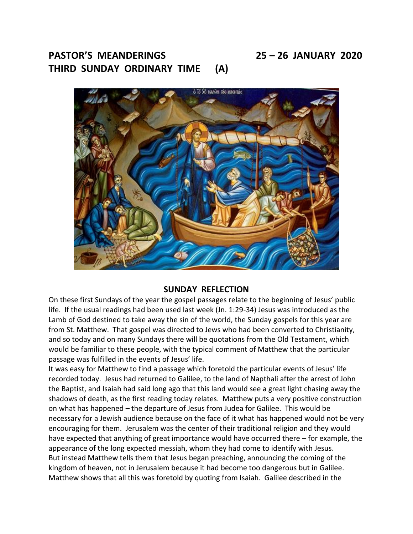# **PASTOR'S MEANDERINGS 25 – 26 JANUARY 2020 THIRD SUNDAY ORDINARY TIME (A)**



#### **SUNDAY REFLECTION**

On these first Sundays of the year the gospel passages relate to the beginning of Jesus' public life. If the usual readings had been used last week (Jn. 1:29-34) Jesus was introduced as the Lamb of God destined to take away the sin of the world, the Sunday gospels for this year are from St. Matthew. That gospel was directed to Jews who had been converted to Christianity, and so today and on many Sundays there will be quotations from the Old Testament, which would be familiar to these people, with the typical comment of Matthew that the particular passage was fulfilled in the events of Jesus' life.

It was easy for Matthew to find a passage which foretold the particular events of Jesus' life recorded today. Jesus had returned to Galilee, to the land of Napthali after the arrest of John the Baptist, and Isaiah had said long ago that this land would see a great light chasing away the shadows of death, as the first reading today relates. Matthew puts a very positive construction on what has happened – the departure of Jesus from Judea for Galilee. This would be necessary for a Jewish audience because on the face of it what has happened would not be very encouraging for them. Jerusalem was the center of their traditional religion and they would have expected that anything of great importance would have occurred there – for example, the appearance of the long expected messiah, whom they had come to identify with Jesus. But instead Matthew tells them that Jesus began preaching, announcing the coming of the kingdom of heaven, not in Jerusalem because it had become too dangerous but in Galilee. Matthew shows that all this was foretold by quoting from Isaiah. Galilee described in the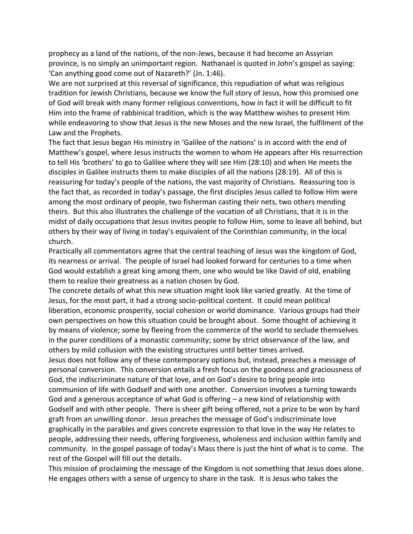prophecy as a land of the nations, of the non-Jews, because it had become an Assyrian province, is no simply an unimportant region. Nathanael is quoted in John's gospel as saying: 'Can anything good come out of Nazareth?' (Jn. 1:46).

We are not surprised at this reversal of significance, this repudiation of what was religious tradition for Jewish Christians, because we know the full story of Jesus, how this promised one of God will break with many former religious conventions, how in fact it will be difficult to fit Him into the frame of rabbinical tradition, which is the way Matthew wishes to present Him while endeavoring to show that Jesus is the new Moses and the new Israel, the fulfilment of the Law and the Prophets.

The fact that Jesus began His ministry in 'Galilee of the nations' is in accord with the end of Matthew's gospel, where Jesus instructs the women to whom He appears after His resurrection to tell His 'brothers' to go to Galilee where they will see Him (28:10) and when He meets the disciples in Galilee instructs them to make disciples of all the nations (28:19). All of this is reassuring for today's people of the nations, the vast majority of Christians. Reassuring too is the fact that, as recorded in today's passage, the first disciples Jesus called to follow Him were among the most ordinary of people, two fisherman casting their nets, two others mending theirs. But this also illustrates the challenge of the vocation of all Christians, that it is in the midst of daily occupations that Jesus invites people to follow Him, some to leave all behind, but others by their way of living in today's equivalent of the Corinthian community, in the local church.

Practically all commentators agree that the central teaching of Jesus was the kingdom of God, its nearness or arrival. The people of Israel had looked forward for centuries to a time when God would establish a great king among them, one who would be like David of old, enabling them to realize their greatness as a nation chosen by God.

The concrete details of what this new situation might look like varied greatly. At the time of Jesus, for the most part, it had a strong socio-political content. It could mean political liberation, economic prosperity, social cohesion or world dominance. Various groups had their own perspectives on how this situation could be brought about. Some thought of achieving it by means of violence; some by fleeing from the commerce of the world to seclude themselves in the purer conditions of a monastic community; some by strict observance of the law, and others by mild collusion with the existing structures until better times arrived.

Jesus does not follow any of these contemporary options but, instead, preaches a message of personal conversion. This conversion entails a fresh focus on the goodness and graciousness of God, the indiscriminate nature of that love, and on God's desire to bring people into communion of life with Godself and with one another. Conversion involves a turning towards God and a generous acceptance of what God is offering – a new kind of relationship with Godself and with other people. There is sheer gift being offered, not a prize to be won by hard graft from an unwilling donor. Jesus preaches the message of God's indiscriminate love graphically in the parables and gives concrete expression to that love in the way He relates to people, addressing their needs, offering forgiveness, wholeness and inclusion within family and community. In the gospel passage of today's Mass there is just the hint of what is to come. The rest of the Gospel will fill out the details.

This mission of proclaiming the message of the Kingdom is not something that Jesus does alone. He engages others with a sense of urgency to share in the task. It is Jesus who takes the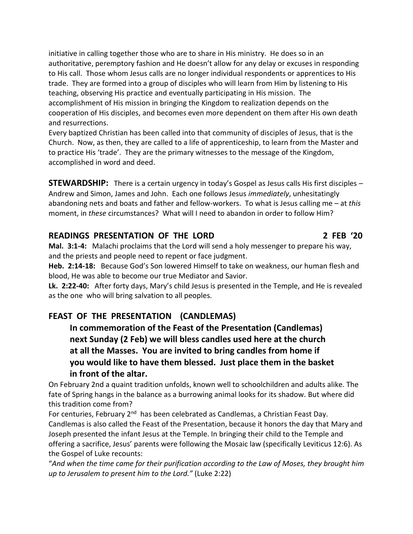initiative in calling together those who are to share in His ministry. He does so in an authoritative, peremptory fashion and He doesn't allow for any delay or excuses in responding to His call. Those whom Jesus calls are no longer individual respondents or apprentices to His trade. They are formed into a group of disciples who will learn from Him by listening to His teaching, observing His practice and eventually participating in His mission. The accomplishment of His mission in bringing the Kingdom to realization depends on the cooperation of His disciples, and becomes even more dependent on them after His own death and resurrections.

Every baptized Christian has been called into that community of disciples of Jesus, that is the Church. Now, as then, they are called to a life of apprenticeship, to learn from the Master and to practice His 'trade'. They are the primary witnesses to the message of the Kingdom, accomplished in word and deed.

**STEWARDSHIP:** There is a certain urgency in today's Gospel as Jesus calls His first disciples – Andrew and Simon, James and John. Each one follows Jesus *immediately*, unhesitatingly abandoning nets and boats and father and fellow-workers. To what is Jesus calling me – at *this* moment, in *these* circumstances? What will I need to abandon in order to follow Him?

### **READINGS PRESENTATION OF THE LORD 2 FEB '20**

**Mal. 3:1-4:** Malachi proclaims that the Lord will send a holy messenger to prepare his way, and the priests and people need to repent or face judgment.

**Heb. 2:14-18:** Because God's Son lowered Himself to take on weakness, our human flesh and blood, He was able to become our true Mediator and Savior.

**Lk. 2:22-40:** After forty days, Mary's child Jesus is presented in the Temple, and He is revealed as the one who will bring salvation to all peoples.

# **FEAST OF THE PRESENTATION (CANDLEMAS)**

 **In commemoration of the Feast of the Presentation (Candlemas) next Sunday (2 Feb) we will bless candles used here at the church at all the Masses. You are invited to bring candles from home if you would like to have them blessed. Just place them in the basket in front of the altar.**

On February 2nd a quaint tradition unfolds, known well to schoolchildren and adults alike. The fate of Spring hangs in the balance as a burrowing animal looks for its shadow. But where did this tradition come from?

For centuries, February 2<sup>nd</sup> has been celebrated as Candlemas, a Christian Feast Day. Candlemas is also called the Feast of the Presentation, because it honors the day that Mary and Joseph presented the infant Jesus at the Temple. In bringing their child to the Temple and offering a sacrifice, Jesus' parents were following the Mosaic law (specifically Leviticus 12:6). As the Gospel of Luke recounts:

"*And when the time came for their purification according to the Law of Moses, they brought him up to Jerusalem to present him to the Lord."* (Luke 2:22)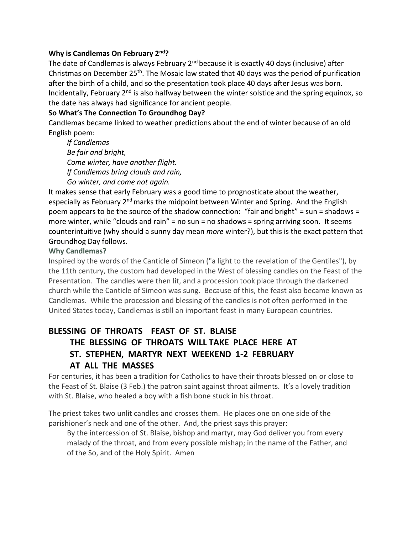#### **Why is Candlemas On February 2nd?**

The date of Candlemas is always February  $2<sup>nd</sup>$  because it is exactly 40 days (inclusive) after Christmas on December  $25<sup>th</sup>$ . The Mosaic law stated that 40 days was the period of purification after the birth of a child, and so the presentation took place 40 days after Jesus was born. Incidentally, February  $2<sup>nd</sup>$  is also halfway between the winter solstice and the spring equinox, so the date has always had significance for ancient people.

#### **So What's The Connection To Groundhog Day?**

Candlemas became linked to weather predictions about the end of winter because of an old English poem:

 *If Candlemas Be fair and bright, Come winter, have another flight. If Candlemas bring clouds and rain, Go winter, and come not again.*

It makes sense that early February was a good time to prognosticate about the weather, especially as February 2<sup>nd</sup> marks the midpoint between Winter and Spring. And the English poem appears to be the source of the shadow connection: "fair and bright" = sun = shadows = more winter, while "clouds and rain" = no sun = no shadows = spring arriving soon. It seems counterintuitive (why should a sunny day mean *more* winter?), but this is the exact pattern that Groundhog Day follows.

#### **Why Candlemas?**

Inspired by the words of the Canticle of Simeon ("a light to the revelation of the Gentiles"), by the 11th century, the custom had developed in the West of blessing candles on the Feast of the Presentation. The candles were then lit, and a procession took place through the darkened church while the Canticle of Simeon was sung. Because of this, the feast also became known as Candlemas. While the procession and blessing of the candles is not often performed in the United States today, Candlemas is still an important feast in many European countries.

# **BLESSING OF THROATS FEAST OF ST. BLAISE THE BLESSING OF THROATS WILL TAKE PLACE HERE AT ST. STEPHEN, MARTYR NEXT WEEKEND 1-2 FEBRUARY AT ALL THE MASSES**

For centuries, it has been a tradition for Catholics to have their throats blessed on or close to the Feast of St. Blaise (3 Feb.) the patron saint against throat ailments. It's a lovely tradition with St. Blaise, who healed a boy with a fish bone stuck in his throat.

The priest takes two unlit candles and crosses them. He places one on one side of the parishioner's neck and one of the other. And, the priest says this prayer:

 By the intercession of St. Blaise, bishop and martyr, may God deliver you from every malady of the throat, and from every possible mishap; in the name of the Father, and of the So, and of the Holy Spirit. Amen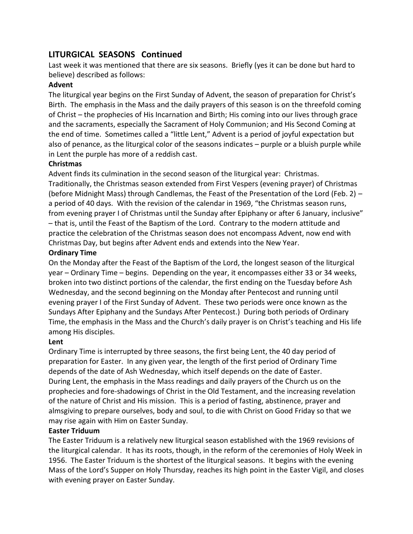# **LITURGICAL SEASONS Continued**

Last week it was mentioned that there are six seasons. Briefly (yes it can be done but hard to believe) described as follows:

#### **Advent**

The liturgical year begins on the First Sunday of Advent, the season of preparation for Christ's Birth. The emphasis in the Mass and the daily prayers of this season is on the threefold coming of Christ – the prophecies of His Incarnation and Birth; His coming into our lives through grace and the sacraments, especially the Sacrament of Holy Communion; and His Second Coming at the end of time. Sometimes called a "little Lent," Advent is a period of joyful expectation but also of penance, as the liturgical color of the seasons indicates – purple or a bluish purple while in Lent the purple has more of a reddish cast.

#### **Christmas**

Advent finds its culmination in the second season of the liturgical year: Christmas. Traditionally, the Christmas season extended from First Vespers (evening prayer) of Christmas (before Midnight Mass) through Candlemas, the Feast of the Presentation of the Lord (Feb. 2) – a period of 40 days. With the revision of the calendar in 1969, "the Christmas season runs, from evening prayer I of Christmas until the Sunday after Epiphany or after 6 January, inclusive" – that is, until the Feast of the Baptism of the Lord. Contrary to the modern attitude and practice the celebration of the Christmas season does not encompass Advent, now end with Christmas Day, but begins after Advent ends and extends into the New Year.

#### **Ordinary Time**

On the Monday after the Feast of the Baptism of the Lord, the longest season of the liturgical year – Ordinary Time – begins. Depending on the year, it encompasses either 33 or 34 weeks, broken into two distinct portions of the calendar, the first ending on the Tuesday before Ash Wednesday, and the second beginning on the Monday after Pentecost and running until evening prayer I of the First Sunday of Advent. These two periods were once known as the Sundays After Epiphany and the Sundays After Pentecost.) During both periods of Ordinary Time, the emphasis in the Mass and the Church's daily prayer is on Christ's teaching and His life among His disciples.

#### **Lent**

Ordinary Time is interrupted by three seasons, the first being Lent, the 40 day period of preparation for Easter. In any given year, the length of the first period of Ordinary Time depends of the date of Ash Wednesday, which itself depends on the date of Easter. During Lent, the emphasis in the Mass readings and daily prayers of the Church us on the prophecies and fore-shadowings of Christ in the Old Testament, and the increasing revelation of the nature of Christ and His mission. This is a period of fasting, abstinence, prayer and almsgiving to prepare ourselves, body and soul, to die with Christ on Good Friday so that we may rise again with Him on Easter Sunday.

#### **Easter Triduum**

The Easter Triduum is a relatively new liturgical season established with the 1969 revisions of the liturgical calendar. It has its roots, though, in the reform of the ceremonies of Holy Week in 1956. The Easter Triduum is the shortest of the liturgical seasons. It begins with the evening Mass of the Lord's Supper on Holy Thursday, reaches its high point in the Easter Vigil, and closes with evening prayer on Easter Sunday.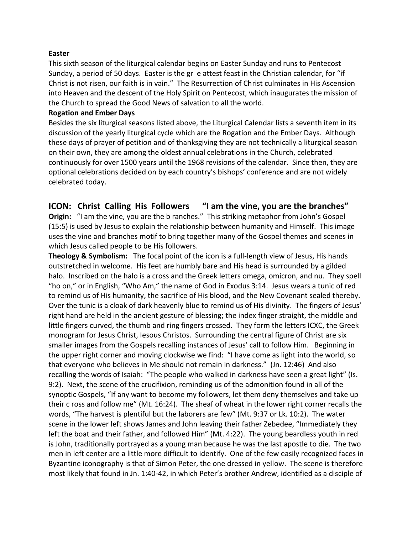#### **Easter**

This sixth season of the liturgical calendar begins on Easter Sunday and runs to Pentecost Sunday, a period of 50 days. Easter is the gr e attest feast in the Christian calendar, for "if Christ is not risen, our faith is in vain." The Resurrection of Christ culminates in His Ascension into Heaven and the descent of the Holy Spirit on Pentecost, which inaugurates the mission of the Church to spread the Good News of salvation to all the world.

#### **Rogation and Ember Days**

Besides the six liturgical seasons listed above, the Liturgical Calendar lists a seventh item in its discussion of the yearly liturgical cycle which are the Rogation and the Ember Days. Although these days of prayer of petition and of thanksgiving they are not technically a liturgical season on their own, they are among the oldest annual celebrations in the Church, celebrated continuously for over 1500 years until the 1968 revisions of the calendar. Since then, they are optional celebrations decided on by each country's bishops' conference and are not widely celebrated today.

### **ICON: Christ Calling His Followers "I am the vine, you are the branches"**

**Origin:** "I am the vine, you are the b ranches." This striking metaphor from John's Gospel (15:5) is used by Jesus to explain the relationship between humanity and Himself. This image uses the vine and branches motif to bring together many of the Gospel themes and scenes in which Jesus called people to be His followers.

**Theology & Symbolism:** The focal point of the icon is a full-length view of Jesus, His hands outstretched in welcome. His feet are humbly bare and His head is surrounded by a gilded halo. Inscribed on the halo is a cross and the Greek letters omega, omicron, and nu. They spell "ho on," or in English, "Who Am," the name of God in Exodus 3:14. Jesus wears a tunic of red to remind us of His humanity, the sacrifice of His blood, and the New Covenant sealed thereby. Over the tunic is a cloak of dark heavenly blue to remind us of His divinity. The fingers of Jesus' right hand are held in the ancient gesture of blessing; the index finger straight, the middle and little fingers curved, the thumb and ring fingers crossed. They form the letters ICXC, the Greek monogram for Jesus Christ, Iesous Christos. Surrounding the central figure of Christ are six smaller images from the Gospels recalling instances of Jesus' call to follow Him. Beginning in the upper right corner and moving clockwise we find: "I have come as light into the world, so that everyone who believes in Me should not remain in darkness." (Jn. 12:46) And also recalling the words of Isaiah: "The people who walked in darkness have seen a great light" (Is. 9:2). Next, the scene of the crucifixion, reminding us of the admonition found in all of the synoptic Gospels, "If any want to become my followers, let them deny themselves and take up their c ross and follow me" (Mt. 16:24). The sheaf of wheat in the lower right corner recalls the words, "The harvest is plentiful but the laborers are few" (Mt. 9:37 or Lk. 10:2). The water scene in the lower left shows James and John leaving their father Zebedee, "Immediately they left the boat and their father, and followed Him" (Mt. 4:22). The young beardless youth in red is John, traditionally portrayed as a young man because he was the last apostle to die. The two men in left center are a little more difficult to identify. One of the few easily recognized faces in Byzantine iconography is that of Simon Peter, the one dressed in yellow. The scene is therefore most likely that found in Jn. 1:40-42, in which Peter's brother Andrew, identified as a disciple of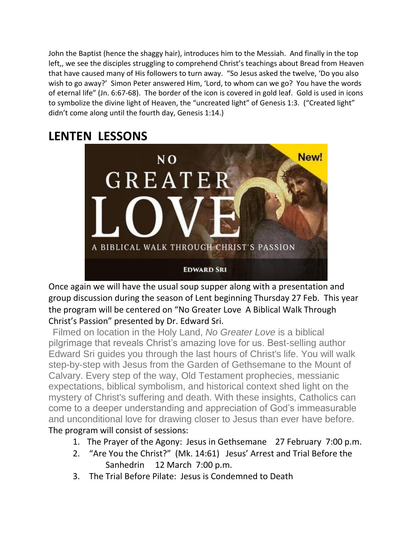John the Baptist (hence the shaggy hair), introduces him to the Messiah. And finally in the top left,, we see the disciples struggling to comprehend Christ's teachings about Bread from Heaven that have caused many of His followers to turn away. "So Jesus asked the twelve, 'Do you also wish to go away?' Simon Peter answered Him, 'Lord, to whom can we go? You have the words of eternal life" (Jn. 6:67-68). The border of the icon is covered in gold leaf. Gold is used in icons to symbolize the divine light of Heaven, the "uncreated light" of Genesis 1:3. ("Created light" didn't come along until the fourth day, Genesis 1:14.)

# **LENTEN LESSONS**



Once again we will have the usual soup supper along with a presentation and group discussion during the season of Lent beginning Thursday 27 Feb. This year the program will be centered on "No Greater Love A Biblical Walk Through Christ's Passion" presented by Dr. Edward Sri.

 Filmed on location in the Holy Land, *No Greater Love* is a biblical pilgrimage that reveals Christ's amazing love for us. Best-selling author Edward Sri guides you through the last hours of Christ's life. You will walk step-by-step with Jesus from the Garden of Gethsemane to the Mount of Calvary. Every step of the way, Old Testament prophecies, messianic expectations, biblical symbolism, and historical context shed light on the mystery of Christ's suffering and death. With these insights, Catholics can come to a deeper understanding and appreciation of God's immeasurable and unconditional love for drawing closer to Jesus than ever have before. The program will consist of sessions:

- 1. The Prayer of the Agony: Jesus in Gethsemane 27 February 7:00 p.m.
- 2. "Are You the Christ?" (Mk. 14:61) Jesus' Arrest and Trial Before the Sanhedrin 12 March 7:00 p.m.
- 3. The Trial Before Pilate: Jesus is Condemned to Death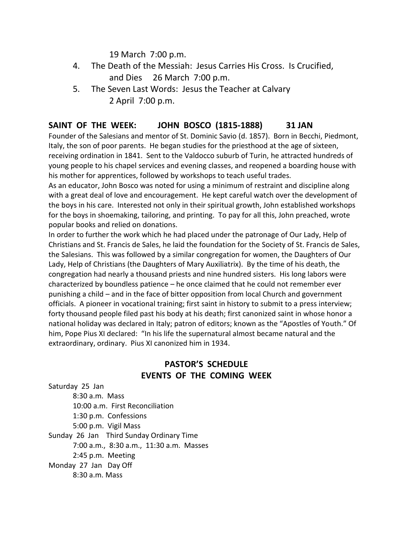19 March 7:00 p.m.

- 4. The Death of the Messiah: Jesus Carries His Cross. Is Crucified, and Dies 26 March 7:00 p.m.
- 5. The Seven Last Words: Jesus the Teacher at Calvary 2 April 7:00 p.m.

# **SAINT OF THE WEEK: JOHN BOSCO (1815-1888) 31 JAN**

Founder of the Salesians and mentor of St. Dominic Savio (d. 1857). Born in Becchi, Piedmont, Italy, the son of poor parents. He began studies for the priesthood at the age of sixteen, receiving ordination in 1841. Sent to the Valdocco suburb of Turin, he attracted hundreds of young people to his chapel services and evening classes, and reopened a boarding house with his mother for apprentices, followed by workshops to teach useful trades.

As an educator, John Bosco was noted for using a minimum of restraint and discipline along with a great deal of love and encouragement. He kept careful watch over the development of the boys in his care. Interested not only in their spiritual growth, John established workshops for the boys in shoemaking, tailoring, and printing. To pay for all this, John preached, wrote popular books and relied on donations.

In order to further the work which he had placed under the patronage of Our Lady, Help of Christians and St. Francis de Sales, he laid the foundation for the Society of St. Francis de Sales, the Salesians. This was followed by a similar congregation for women, the Daughters of Our Lady, Help of Christians (the Daughters of Mary Auxiliatrix). By the time of his death, the congregation had nearly a thousand priests and nine hundred sisters. His long labors were characterized by boundless patience – he once claimed that he could not remember ever punishing a child – and in the face of bitter opposition from local Church and government officials. A pioneer in vocational training; first saint in history to submit to a press interview; forty thousand people filed past his body at his death; first canonized saint in whose honor a national holiday was declared in Italy; patron of editors; known as the "Apostles of Youth." Of him, Pope Pius XI declared: "In his life the supernatural almost became natural and the extraordinary, ordinary. Pius XI canonized him in 1934.

# **PASTOR'S SCHEDULE EVENTS OF THE COMING WEEK**

Saturday 25 Jan 8:30 a.m. Mass 10:00 a.m. First Reconciliation 1:30 p.m. Confessions 5:00 p.m. Vigil Mass Sunday 26 Jan Third Sunday Ordinary Time 7:00 a.m., 8:30 a.m., 11:30 a.m. Masses 2:45 p.m. Meeting Monday 27 Jan Day Off 8:30 a.m. Mass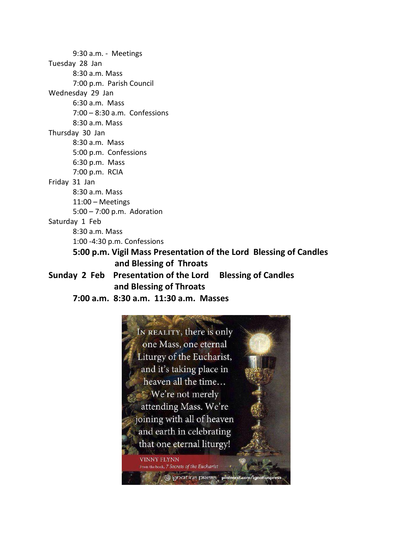9:30 a.m. - Meetings Tuesday 28 Jan 8:30 a.m. Mass 7:00 p.m. Parish Council Wednesday 29 Jan 6:30 a.m. Mass 7:00 – 8:30 a.m. Confessions 8:30 a.m. Mass Thursday 30 Jan 8:30 a.m. Mass 5:00 p.m. Confessions 6:30 p.m. Mass 7:00 p.m. RCIA Friday 31 Jan 8:30 a.m. Mass 11:00 – Meetings 5:00 – 7:00 p.m. Adoration Saturday 1 Feb 8:30 a.m. Mass 1:00 -4:30 p.m. Confessions **5:00 p.m. Vigil Mass Presentation of the Lord Blessing of Candles and Blessing of Throats Sunday 2 Feb Presentation of the Lord Blessing of Candles and Blessing of Throats**

**7:00 a.m. 8:30 a.m. 11:30 a.m. Masses**